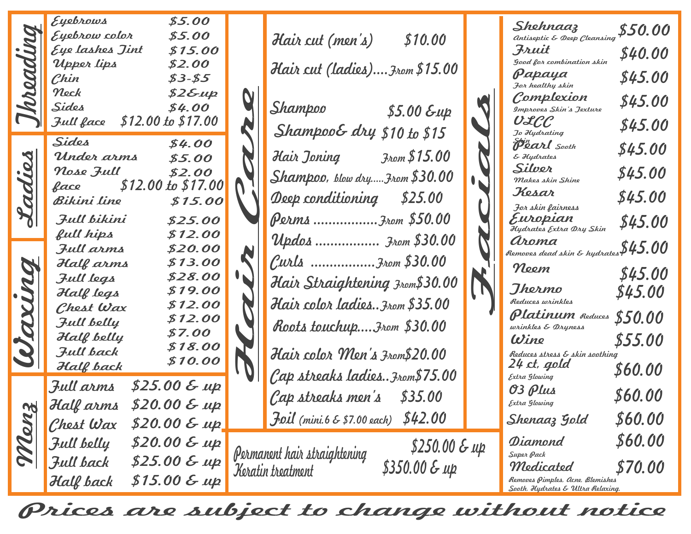|                 | Eyebrows<br>Eyebrow color<br>Eye lashes Jint<br>Upper lips<br>Chin<br>Neck<br>Sides<br>$$12.00 \text{ to } $17.00$<br>Full face                                                                                                           | \$5.00<br>\$5.00<br>\$15.00<br>\$2.00<br>$$3 - $5$<br>$$2 \& \mu$<br>\$4.00                                                                                   | \$10.00<br>Hair cut (men's)<br>Hair cut (ladies) From \$15.00<br>Shampoo<br>$$5.00$ $\epsilon$ up<br>Shampoo& dry \$10 to \$15                                                                                                                                                                       | Shehnaaz<br>Antiseptic & Deep Cleansing<br>Fruit<br><b>Good for combination skin</b><br>Papaya<br>For healthy skin<br>Complexion<br>Improves Skin's Jexture<br>ULCC<br>Jo Hydrating                                                                                                                                     | \$50.00<br>\$40.00<br>\$45.00<br>\$45.00<br>\$45.00                                             |
|-----------------|-------------------------------------------------------------------------------------------------------------------------------------------------------------------------------------------------------------------------------------------|---------------------------------------------------------------------------------------------------------------------------------------------------------------|------------------------------------------------------------------------------------------------------------------------------------------------------------------------------------------------------------------------------------------------------------------------------------------------------|-------------------------------------------------------------------------------------------------------------------------------------------------------------------------------------------------------------------------------------------------------------------------------------------------------------------------|-------------------------------------------------------------------------------------------------|
| Cadies<br>Waxun | Sides<br>Under arms<br>Nose Full<br>$$12.00 \text{ to } $17.00$<br>face<br>Bikini line<br>Full bikini<br>full hips<br>Full arms<br>Half arms<br>Full legs<br>Half legs<br>Chest Wax<br>Full belly<br>Half belly<br>Jull back<br>Half back | \$4.00<br>\$5.00<br>\$2.00<br>\$15.00<br>\$25.00<br>\$12.00<br>\$20.00<br>\$13.00<br>\$28.00<br>\$19.00<br>\$12.00<br>\$12.00<br>\$7.00<br>\$18.00<br>\$10.00 | Hair Joning<br>3rom \$ 15.00<br>$Shampoo$ , blow dryFrom $$30.00$<br>Deep conditioning \$25.00<br>Perms From \$50.00<br>Updos  From \$30.00<br>Curls  From \$30.00<br>Hair Straightening From\$30.00<br>Hair color ladies From \$35.00<br>Roots touchup From \$30.00<br>Hair color Men's From\$20.00 | Pearl Sooth<br>& Hydrates<br>Silver<br>Makes skin Shine<br>Kesar<br>For skin fairness<br>Europian<br>Hydrates Extra Dry Skin<br>aroma<br>Removes dead skin & hydrates $$45.00$<br>Neem<br>Ihermo<br>Reduces wrinkles<br>Platinum Reduces<br>wrinkles & Dryness<br>Wine<br>Reduces stress & skin soothing<br>24 ct, gold | \$45.00<br>\$45.00<br>\$45.00<br>\$45.00<br>\$45.00<br>\$45.00<br>\$50.00<br>\$55.00<br>\$60.00 |
| Menz            | Full arms<br>Half arms<br>Chest Wax<br>Full belly<br>Full back<br>Half back                                                                                                                                                               | $$25.00 \& up$<br>\$20.00 & up<br>$$20.00 \& \mu p$<br>$$20.00 \& \mu p$<br>$$25.00 \& \mu p$<br>$$15.00 \& \mu p$                                            | Cap streaks ladies3rom\$75.00<br>Cap streaks men's \$35.00<br>\$42.00<br>$\overline{f}$ oil (mini. 6 & \$7.00 each)<br>$$250.00 \& \mu p$<br>Permanent hair straightening<br>$$350.00 & \text{Lup}$<br>Keratin treatment                                                                             | Extra Glowing<br>03 Plus<br>Extra Glowing<br>Shenaaz Gold<br>Diamond<br>Super Pack<br>Medicated<br>Removes Pimples, acne, Blemishes<br>Sooth, Hydrates & Ultra Relaxing.                                                                                                                                                | \$60.00<br>\$60.00<br>\$60.00<br><i><b>\$70.00</b></i>                                          |

Prices are subject to change without notice